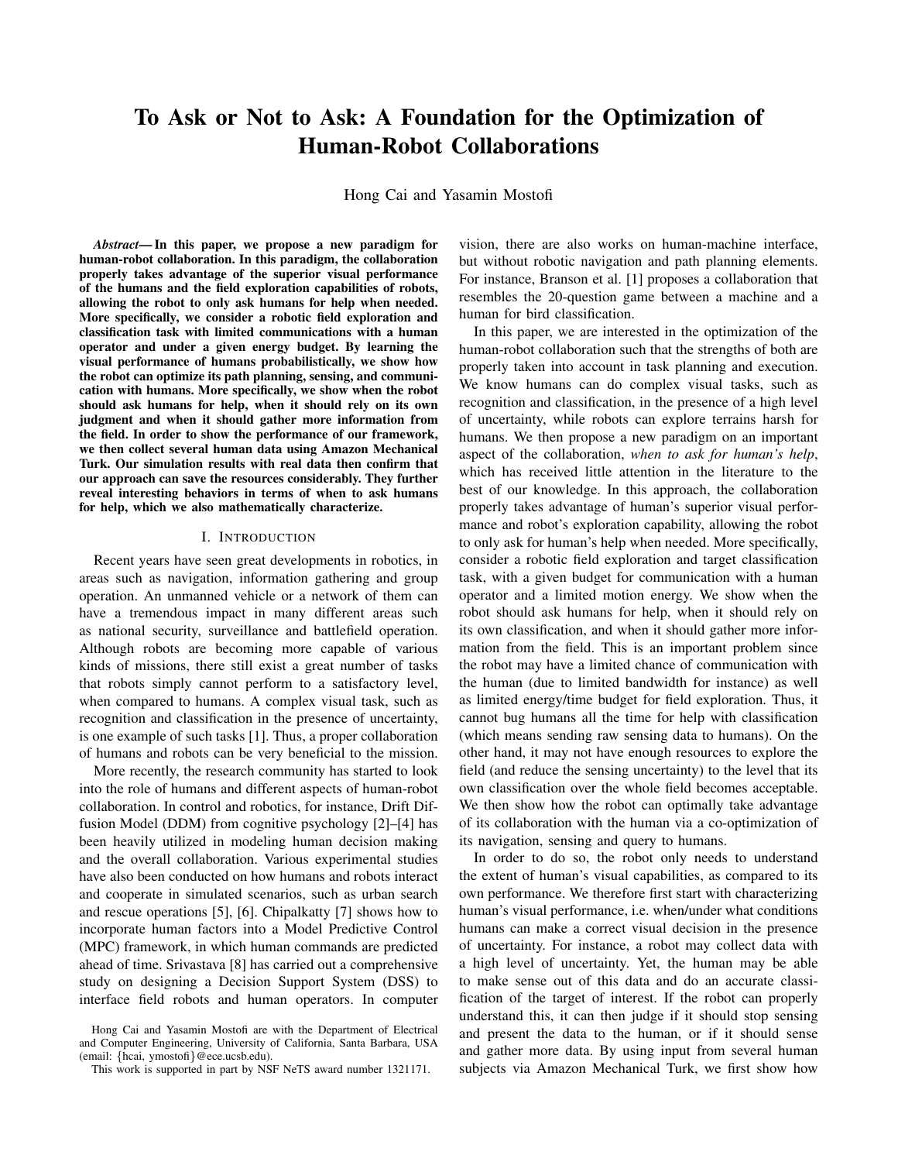# To Ask or Not to Ask: A Foundation for the Optimization of Human-Robot Collaborations

Hong Cai and Yasamin Mostofi

*Abstract*— In this paper, we propose a new paradigm for human-robot collaboration. In this paradigm, the collaboration properly takes advantage of the superior visual performance of the humans and the field exploration capabilities of robots, allowing the robot to only ask humans for help when needed. More specifically, we consider a robotic field exploration and classification task with limited communications with a human operator and under a given energy budget. By learning the visual performance of humans probabilistically, we show how the robot can optimize its path planning, sensing, and communication with humans. More specifically, we show when the robot should ask humans for help, when it should rely on its own judgment and when it should gather more information from the field. In order to show the performance of our framework, we then collect several human data using Amazon Mechanical Turk. Our simulation results with real data then confirm that our approach can save the resources considerably. They further reveal interesting behaviors in terms of when to ask humans for help, which we also mathematically characterize.

#### I. INTRODUCTION

Recent years have seen great developments in robotics, in areas such as navigation, information gathering and group operation. An unmanned vehicle or a network of them can have a tremendous impact in many different areas such as national security, surveillance and battlefield operation. Although robots are becoming more capable of various kinds of missions, there still exist a great number of tasks that robots simply cannot perform to a satisfactory level, when compared to humans. A complex visual task, such as recognition and classification in the presence of uncertainty, is one example of such tasks [1]. Thus, a proper collaboration of humans and robots can be very beneficial to the mission.

More recently, the research community has started to look into the role of humans and different aspects of human-robot collaboration. In control and robotics, for instance, Drift Diffusion Model (DDM) from cognitive psychology [2]–[4] has been heavily utilized in modeling human decision making and the overall collaboration. Various experimental studies have also been conducted on how humans and robots interact and cooperate in simulated scenarios, such as urban search and rescue operations [5], [6]. Chipalkatty [7] shows how to incorporate human factors into a Model Predictive Control (MPC) framework, in which human commands are predicted ahead of time. Srivastava [8] has carried out a comprehensive study on designing a Decision Support System (DSS) to interface field robots and human operators. In computer

vision, there are also works on human-machine interface, but without robotic navigation and path planning elements. For instance, Branson et al. [1] proposes a collaboration that resembles the 20-question game between a machine and a human for bird classification.

In this paper, we are interested in the optimization of the human-robot collaboration such that the strengths of both are properly taken into account in task planning and execution. We know humans can do complex visual tasks, such as recognition and classification, in the presence of a high level of uncertainty, while robots can explore terrains harsh for humans. We then propose a new paradigm on an important aspect of the collaboration, *when to ask for human's help*, which has received little attention in the literature to the best of our knowledge. In this approach, the collaboration properly takes advantage of human's superior visual performance and robot's exploration capability, allowing the robot to only ask for human's help when needed. More specifically, consider a robotic field exploration and target classification task, with a given budget for communication with a human operator and a limited motion energy. We show when the robot should ask humans for help, when it should rely on its own classification, and when it should gather more information from the field. This is an important problem since the robot may have a limited chance of communication with the human (due to limited bandwidth for instance) as well as limited energy/time budget for field exploration. Thus, it cannot bug humans all the time for help with classification (which means sending raw sensing data to humans). On the other hand, it may not have enough resources to explore the field (and reduce the sensing uncertainty) to the level that its own classification over the whole field becomes acceptable. We then show how the robot can optimally take advantage of its collaboration with the human via a co-optimization of its navigation, sensing and query to humans.

In order to do so, the robot only needs to understand the extent of human's visual capabilities, as compared to its own performance. We therefore first start with characterizing human's visual performance, i.e. when/under what conditions humans can make a correct visual decision in the presence of uncertainty. For instance, a robot may collect data with a high level of uncertainty. Yet, the human may be able to make sense out of this data and do an accurate classification of the target of interest. If the robot can properly understand this, it can then judge if it should stop sensing and present the data to the human, or if it should sense and gather more data. By using input from several human subjects via Amazon Mechanical Turk, we first show how

Hong Cai and Yasamin Mostofi are with the Department of Electrical and Computer Engineering, University of California, Santa Barbara, USA (email: {hcai, ymostofi}@ece.ucsb.edu).

This work is supported in part by NSF NeTS award number 1321171.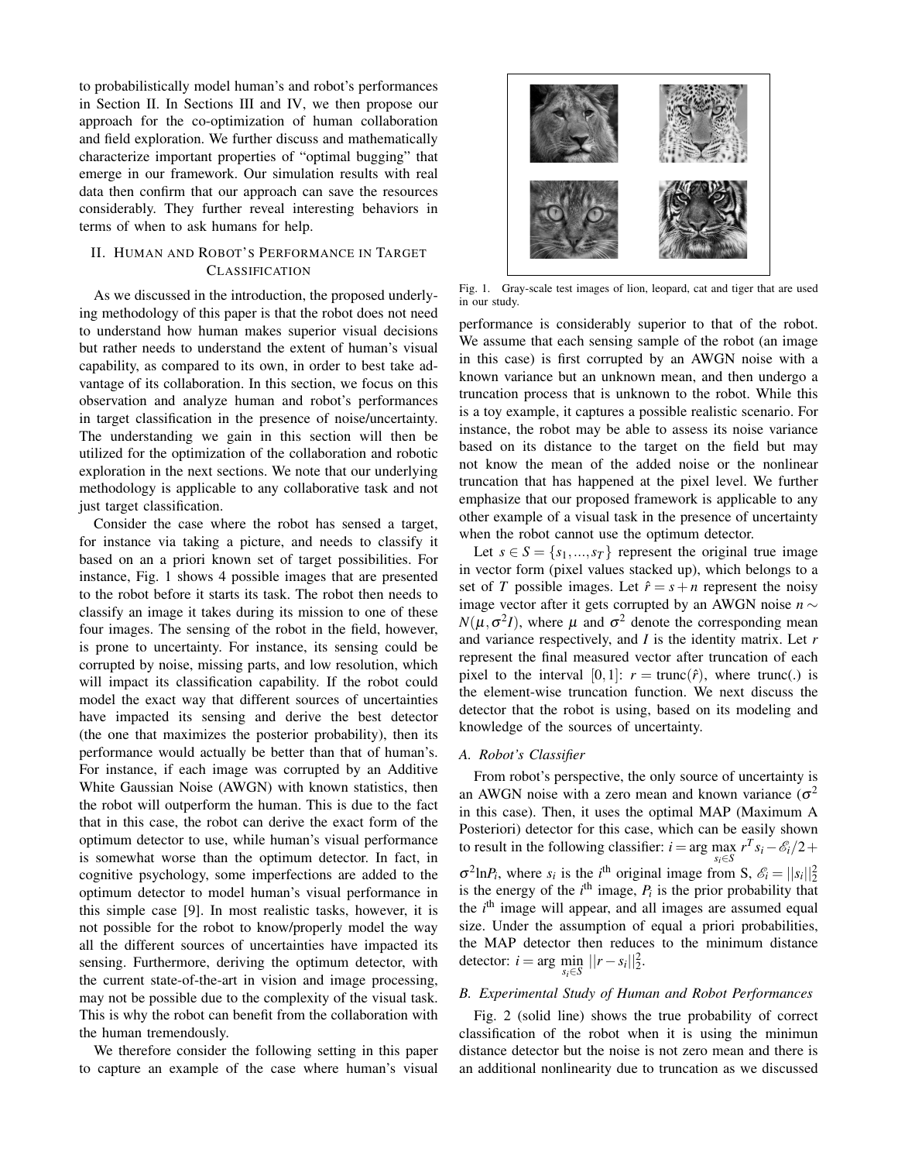to probabilistically model human's and robot's performances in Section II. In Sections III and IV, we then propose our approach for the co-optimization of human collaboration and field exploration. We further discuss and mathematically characterize important properties of "optimal bugging" that emerge in our framework. Our simulation results with real data then confirm that our approach can save the resources considerably. They further reveal interesting behaviors in terms of when to ask humans for help.

# II. HUMAN AND ROBOT'S PERFORMANCE IN TARGET CLASSIFICATION

As we discussed in the introduction, the proposed underlying methodology of this paper is that the robot does not need to understand how human makes superior visual decisions but rather needs to understand the extent of human's visual capability, as compared to its own, in order to best take advantage of its collaboration. In this section, we focus on this observation and analyze human and robot's performances in target classification in the presence of noise/uncertainty. The understanding we gain in this section will then be utilized for the optimization of the collaboration and robotic exploration in the next sections. We note that our underlying methodology is applicable to any collaborative task and not just target classification.

Consider the case where the robot has sensed a target, for instance via taking a picture, and needs to classify it based on an a priori known set of target possibilities. For instance, Fig. 1 shows 4 possible images that are presented to the robot before it starts its task. The robot then needs to classify an image it takes during its mission to one of these four images. The sensing of the robot in the field, however, is prone to uncertainty. For instance, its sensing could be corrupted by noise, missing parts, and low resolution, which will impact its classification capability. If the robot could model the exact way that different sources of uncertainties have impacted its sensing and derive the best detector (the one that maximizes the posterior probability), then its performance would actually be better than that of human's. For instance, if each image was corrupted by an Additive White Gaussian Noise (AWGN) with known statistics, then the robot will outperform the human. This is due to the fact that in this case, the robot can derive the exact form of the optimum detector to use, while human's visual performance is somewhat worse than the optimum detector. In fact, in cognitive psychology, some imperfections are added to the optimum detector to model human's visual performance in this simple case [9]. In most realistic tasks, however, it is not possible for the robot to know/properly model the way all the different sources of uncertainties have impacted its sensing. Furthermore, deriving the optimum detector, with the current state-of-the-art in vision and image processing, may not be possible due to the complexity of the visual task. This is why the robot can benefit from the collaboration with the human tremendously.

We therefore consider the following setting in this paper to capture an example of the case where human's visual



Fig. 1. Gray-scale test images of lion, leopard, cat and tiger that are used in our study.

performance is considerably superior to that of the robot. We assume that each sensing sample of the robot (an image in this case) is first corrupted by an AWGN noise with a known variance but an unknown mean, and then undergo a truncation process that is unknown to the robot. While this is a toy example, it captures a possible realistic scenario. For instance, the robot may be able to assess its noise variance based on its distance to the target on the field but may not know the mean of the added noise or the nonlinear truncation that has happened at the pixel level. We further emphasize that our proposed framework is applicable to any other example of a visual task in the presence of uncertainty when the robot cannot use the optimum detector.

Let  $s \in S = \{s_1, ..., s_T\}$  represent the original true image in vector form (pixel values stacked up), which belongs to a set of *T* possible images. Let  $\hat{r} = s + n$  represent the noisy image vector after it gets corrupted by an AWGN noise *n* ∼  $N(\mu, \sigma^2 I)$ , where  $\mu$  and  $\sigma^2$  denote the corresponding mean and variance respectively, and *I* is the identity matrix. Let *r* represent the final measured vector after truncation of each pixel to the interval  $[0,1]$ :  $r = \text{trunc}(\hat{r})$ , where trunc(.) is the element-wise truncation function. We next discuss the detector that the robot is using, based on its modeling and knowledge of the sources of uncertainty.

## *A. Robot's Classifier*

From robot's perspective, the only source of uncertainty is an AWGN noise with a zero mean and known variance  $(\sigma^2)$ in this case). Then, it uses the optimal MAP (Maximum A Posteriori) detector for this case, which can be easily shown to result in the following classifier:  $i = \arg \max_{i} r^T s_i - \mathcal{E}_i/2 +$ *si*∈*S*  $\sigma^2 \ln P_i$ , where  $s_i$  is the *i*<sup>th</sup> original image from S,  $\mathcal{E}_i = ||s_i||_2^2$ is the energy of the  $i^{\text{th}}$  image,  $P_i$  is the prior probability that the *i*<sup>th</sup> image will appear, and all images are assumed equal size. Under the assumption of equal a priori probabilities, the MAP detector then reduces to the minimum distance detector:  $i = \arg \min_{s_i \in S} ||r - s_i||_2^2$ .

## *B. Experimental Study of Human and Robot Performances*

Fig. 2 (solid line) shows the true probability of correct classification of the robot when it is using the minimun distance detector but the noise is not zero mean and there is an additional nonlinearity due to truncation as we discussed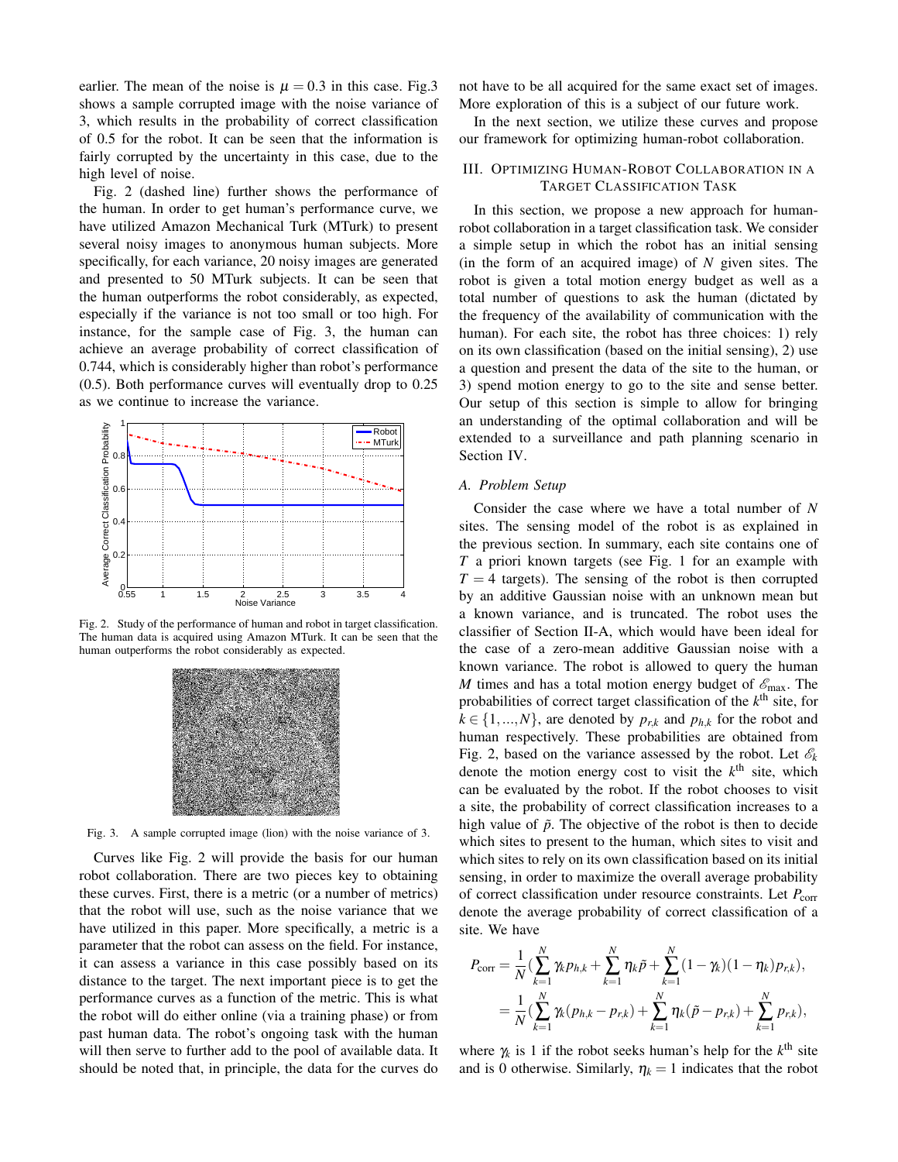earlier. The mean of the noise is  $\mu = 0.3$  in this case. Fig.3 shows a sample corrupted image with the noise variance of 3, which results in the probability of correct classification of 0.5 for the robot. It can be seen that the information is fairly corrupted by the uncertainty in this case, due to the high level of noise.

Fig. 2 (dashed line) further shows the performance of the human. In order to get human's performance curve, we have utilized Amazon Mechanical Turk (MTurk) to present several noisy images to anonymous human subjects. More specifically, for each variance, 20 noisy images are generated and presented to 50 MTurk subjects. It can be seen that the human outperforms the robot considerably, as expected, especially if the variance is not too small or too high. For instance, for the sample case of Fig. 3, the human can achieve an average probability of correct classification of 0.744, which is considerably higher than robot's performance (0.5). Both performance curves will eventually drop to 0.25 as we continue to increase the variance.



Fig. 2. Study of the performance of human and robot in target classification. The human data is acquired using Amazon MTurk. It can be seen that the human outperforms the robot considerably as expected.



Fig. 3. A sample corrupted image (lion) with the noise variance of 3.

Curves like Fig. 2 will provide the basis for our human robot collaboration. There are two pieces key to obtaining these curves. First, there is a metric (or a number of metrics) that the robot will use, such as the noise variance that we have utilized in this paper. More specifically, a metric is a parameter that the robot can assess on the field. For instance, it can assess a variance in this case possibly based on its distance to the target. The next important piece is to get the performance curves as a function of the metric. This is what the robot will do either online (via a training phase) or from past human data. The robot's ongoing task with the human will then serve to further add to the pool of available data. It should be noted that, in principle, the data for the curves do

not have to be all acquired for the same exact set of images. More exploration of this is a subject of our future work.

In the next section, we utilize these curves and propose our framework for optimizing human-robot collaboration.

# III. OPTIMIZING HUMAN-ROBOT COLLABORATION IN A TARGET CLASSIFICATION TASK

In this section, we propose a new approach for humanrobot collaboration in a target classification task. We consider a simple setup in which the robot has an initial sensing (in the form of an acquired image) of *N* given sites. The robot is given a total motion energy budget as well as a total number of questions to ask the human (dictated by the frequency of the availability of communication with the human). For each site, the robot has three choices: 1) rely on its own classification (based on the initial sensing), 2) use a question and present the data of the site to the human, or 3) spend motion energy to go to the site and sense better. Our setup of this section is simple to allow for bringing an understanding of the optimal collaboration and will be extended to a surveillance and path planning scenario in Section IV.

## *A. Problem Setup*

Consider the case where we have a total number of *N* sites. The sensing model of the robot is as explained in the previous section. In summary, each site contains one of *T* a priori known targets (see Fig. 1 for an example with  $T = 4$  targets). The sensing of the robot is then corrupted by an additive Gaussian noise with an unknown mean but a known variance, and is truncated. The robot uses the classifier of Section II-A, which would have been ideal for the case of a zero-mean additive Gaussian noise with a known variance. The robot is allowed to query the human *M* times and has a total motion energy budget of  $\mathscr{E}_{\text{max}}$ . The probabilities of correct target classification of the *k*<sup>th</sup> site, for  $k \in \{1, ..., N\}$ , are denoted by  $p_{rk}$  and  $p_{h,k}$  for the robot and human respectively. These probabilities are obtained from Fig. 2, based on the variance assessed by the robot. Let  $\mathcal{E}_k$ denote the motion energy cost to visit the  $k<sup>th</sup>$  site, which can be evaluated by the robot. If the robot chooses to visit a site, the probability of correct classification increases to a high value of  $\tilde{p}$ . The objective of the robot is then to decide which sites to present to the human, which sites to visit and which sites to rely on its own classification based on its initial sensing, in order to maximize the overall average probability of correct classification under resource constraints. Let  $P_{\text{corr}}$ denote the average probability of correct classification of a site. We have

$$
P_{\text{corr}} = \frac{1}{N} (\sum_{k=1}^{N} \gamma_k p_{h,k} + \sum_{k=1}^{N} \eta_k \tilde{p} + \sum_{k=1}^{N} (1 - \gamma_k)(1 - \eta_k) p_{r,k}),
$$
  
= 
$$
\frac{1}{N} (\sum_{k=1}^{N} \gamma_k (p_{h,k} - p_{r,k}) + \sum_{k=1}^{N} \eta_k (\tilde{p} - p_{r,k}) + \sum_{k=1}^{N} p_{r,k}),
$$

where  $\gamma_k$  is 1 if the robot seeks human's help for the  $k^{\text{th}}$  site and is 0 otherwise. Similarly,  $\eta_k = 1$  indicates that the robot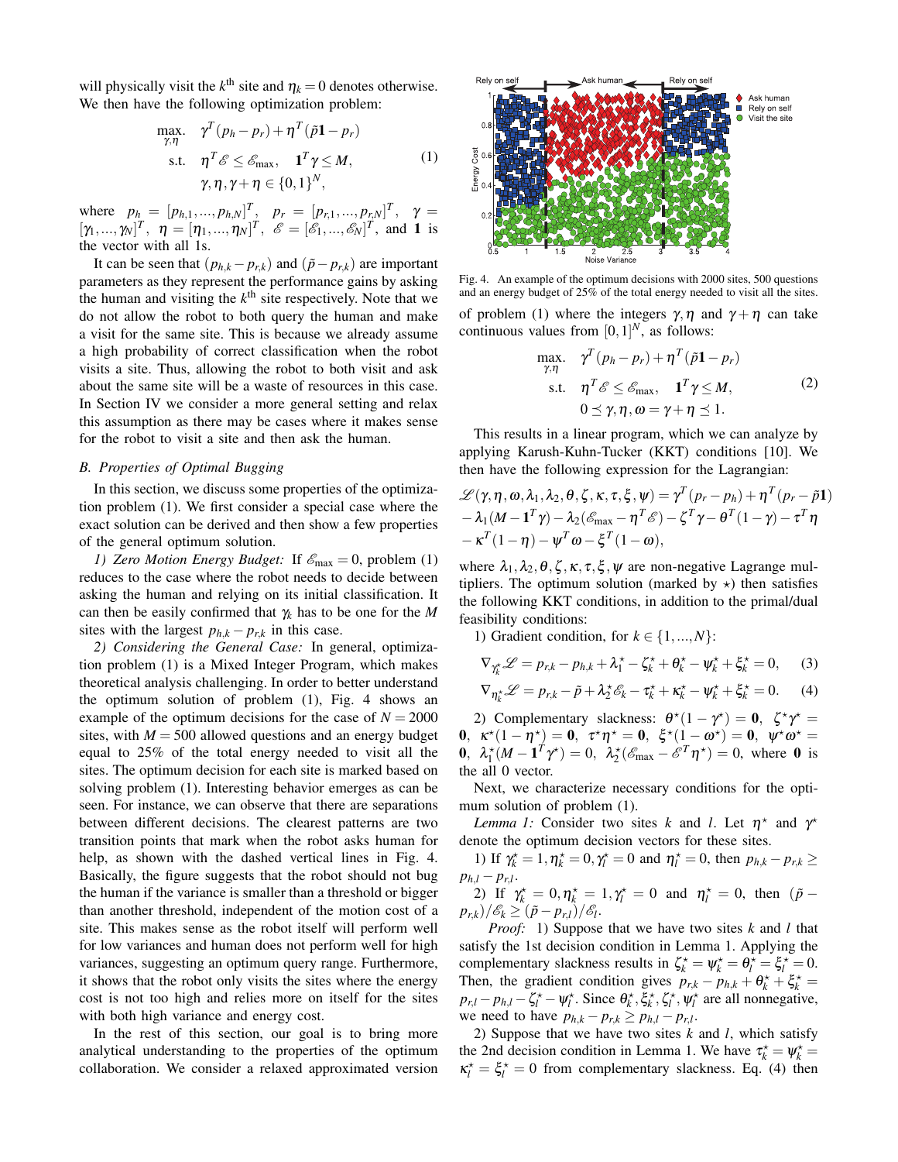will physically visit the  $k^{\text{th}}$  site and  $\eta_k = 0$  denotes otherwise. We then have the following optimization problem:

$$
\max_{\gamma,\eta} \quad \gamma^T (p_h - p_r) + \eta^T (\tilde{p} \mathbf{1} - p_r) \n\text{s.t.} \quad \eta^T \mathscr{E} \leq \mathscr{E}_{\text{max}}, \quad \mathbf{1}^T \gamma \leq M, \n\gamma, \eta, \gamma + \eta \in \{0, 1\}^N,
$$
\n(1)

where  $p_h = [p_{h,1},..., p_{h,N}]^T$ ,  $p_r = [p_{r,1},..., p_{r,N}]^T$ ,  $\gamma =$  $[\gamma_1, ..., \gamma_N]^T$ ,  $\eta = [\eta_1, ..., \eta_N]^T$ ,  $\mathscr{E} = [\mathscr{E}_1, ..., \mathscr{E}_N]^T$ , and 1 is the vector with all 1s.

It can be seen that  $(p_{h,k} - p_{r,k})$  and  $(\tilde{p} - p_{r,k})$  are important parameters as they represent the performance gains by asking the human and visiting the  $k<sup>th</sup>$  site respectively. Note that we do not allow the robot to both query the human and make a visit for the same site. This is because we already assume a high probability of correct classification when the robot visits a site. Thus, allowing the robot to both visit and ask about the same site will be a waste of resources in this case. In Section IV we consider a more general setting and relax this assumption as there may be cases where it makes sense for the robot to visit a site and then ask the human.

#### *B. Properties of Optimal Bugging*

In this section, we discuss some properties of the optimization problem (1). We first consider a special case where the exact solution can be derived and then show a few properties of the general optimum solution.

*1) Zero Motion Energy Budget:* If  $\mathscr{E}_{\text{max}} = 0$ , problem (1) reduces to the case where the robot needs to decide between asking the human and relying on its initial classification. It can then be easily confirmed that γ*<sup>k</sup>* has to be one for the *M* sites with the largest  $p_{h,k} - p_{r,k}$  in this case.

*2) Considering the General Case:* In general, optimization problem (1) is a Mixed Integer Program, which makes theoretical analysis challenging. In order to better understand the optimum solution of problem (1), Fig. 4 shows an example of the optimum decisions for the case of  $N = 2000$ sites, with  $M = 500$  allowed questions and an energy budget equal to 25% of the total energy needed to visit all the sites. The optimum decision for each site is marked based on solving problem (1). Interesting behavior emerges as can be seen. For instance, we can observe that there are separations between different decisions. The clearest patterns are two transition points that mark when the robot asks human for help, as shown with the dashed vertical lines in Fig. 4. Basically, the figure suggests that the robot should not bug the human if the variance is smaller than a threshold or bigger than another threshold, independent of the motion cost of a site. This makes sense as the robot itself will perform well for low variances and human does not perform well for high variances, suggesting an optimum query range. Furthermore, it shows that the robot only visits the sites where the energy cost is not too high and relies more on itself for the sites with both high variance and energy cost.

In the rest of this section, our goal is to bring more analytical understanding to the properties of the optimum collaboration. We consider a relaxed approximated version



Fig. 4. An example of the optimum decisions with 2000 sites, 500 questions and an energy budget of 25% of the total energy needed to visit all the sites. of problem (1) where the integers  $\gamma$ ,  $\eta$  and  $\gamma + \eta$  can take continuous values from  $[0,1]^N$ , as follows:

$$
\max_{\gamma,\eta} \quad \gamma^T (p_h - p_r) + \eta^T (\tilde{p} \mathbf{1} - p_r) \n\text{s.t.} \quad \eta^T \mathscr{E} \leq \mathscr{E}_{\text{max}}, \quad \mathbf{1}^T \gamma \leq M, \n0 \leq \gamma, \eta, \omega = \gamma + \eta \leq 1.
$$
\n(2)

This results in a linear program, which we can analyze by applying Karush-Kuhn-Tucker (KKT) conditions [10]. We then have the following expression for the Lagrangian:

$$
\mathcal{L}(\gamma,\eta,\omega,\lambda_1,\lambda_2,\theta,\zeta,\kappa,\tau,\xi,\psi) = \gamma^T(p_r - p_h) + \eta^T(p_r - \tilde{p}\mathbf{1}) - \lambda_1(M - \mathbf{1}^T\gamma) - \lambda_2(\mathscr{E}_{\text{max}} - \eta^T\mathscr{E}) - \zeta^T\gamma - \theta^T(1 - \gamma) - \tau^T\eta - \kappa^T(1 - \eta) - \psi^T\omega - \xi^T(1 - \omega),
$$

where  $\lambda_1, \lambda_2, \theta, \zeta, \kappa, \tau, \xi, \psi$  are non-negative Lagrange multipliers. The optimum solution (marked by  $\star$ ) then satisfies the following KKT conditions, in addition to the primal/dual feasibility conditions:

1) Gradient condition, for  $k \in \{1, ..., N\}$ :

$$
\nabla_{\gamma_k^*} \mathcal{L} = p_{r,k} - p_{h,k} + \lambda_1^* - \zeta_k^* + \theta_k^* - \psi_k^* + \xi_k^* = 0, \quad (3)
$$

$$
\nabla_{\eta_k^*} \mathcal{L} = p_{r,k} - \tilde{p} + \lambda_2^* \mathcal{E}_k - \tau_k^* + \kappa_k^* - \psi_k^* + \xi_k^* = 0. \tag{4}
$$

2) Complementary slackness:  $\theta^*(1 - \gamma^*) = 0$ ,  $\zeta^* \gamma^* =$ 0,  $\kappa^*(1 - \eta^*) = 0$ ,  $\tau^*\eta^* = 0$ ,  $\xi^*(1 - \omega^*) = 0$ ,  $\psi^*\omega^* = 0$ **0**,  $\lambda_1^{\star}(M - \mathbf{1}^T \gamma^{\star}) = 0$ ,  $\lambda_2^{\star}(\mathscr{E}_{\text{max}} - \mathscr{E}^T \eta^{\star}) = 0$ , where **0** is the all 0 vector.

Next, we characterize necessary conditions for the optimum solution of problem (1).

*Lemma 1:* Consider two sites *k* and *l*. Let  $\eta^*$  and  $\gamma^*$ denote the optimum decision vectors for these sites.

1) If  $\gamma_k^* = 1, \eta_k^* = 0, \gamma_l^* = 0$  and  $\eta_l^* = 0$ , then  $p_{h,k} - p_{r,k} \geq 0$  $p_{h,l} - p_{r,l}$ . 2) If  $\gamma_k^*$  $\eta_k^\star = 0, \eta_k^\star$  $\chi_k^* = 1, \gamma_l^*$  $\star$  $f(x) = f(x)$ 

2) If 
$$
\gamma_k^* = 0, \eta_k^* = 1, \gamma_l^* = 0
$$
 and  $\eta_l^* = 0$ , then  $(\tilde{p} - p_{r,k})/\mathcal{E}_k \geq (\tilde{p} - p_{r,l})/\mathcal{E}_l$ .

*Proof:* 1) Suppose that we have two sites *k* and *l* that satisfy the 1st decision condition in Lemma 1. Applying the complementary slackness results in  $\zeta_k^* = \psi_k^* = \theta_l^* = \xi_l^* = 0$ . Then, the gradient condition gives  $p_{r,k} - p_{h,k} + \theta_k^* + \xi_k^* =$  $p_{r,l} - p_{h,l} - \zeta_l^* - \psi_l^*$ . Since  $\theta_k^*, \xi_k^*, \zeta_l^*, \psi_l^*$  are all nonnegative, we need to have  $p_{h,k} - p_{r,k} \geq p_{h,l} - p_{r,l}$ .

2) Suppose that we have two sites *k* and *l*, which satisfy the 2nd decision condition in Lemma 1. We have  $\tau_k^* = \psi_k^* =$  $\kappa_l^* = \xi_l^* = 0$  from complementary slackness. Eq. (4) then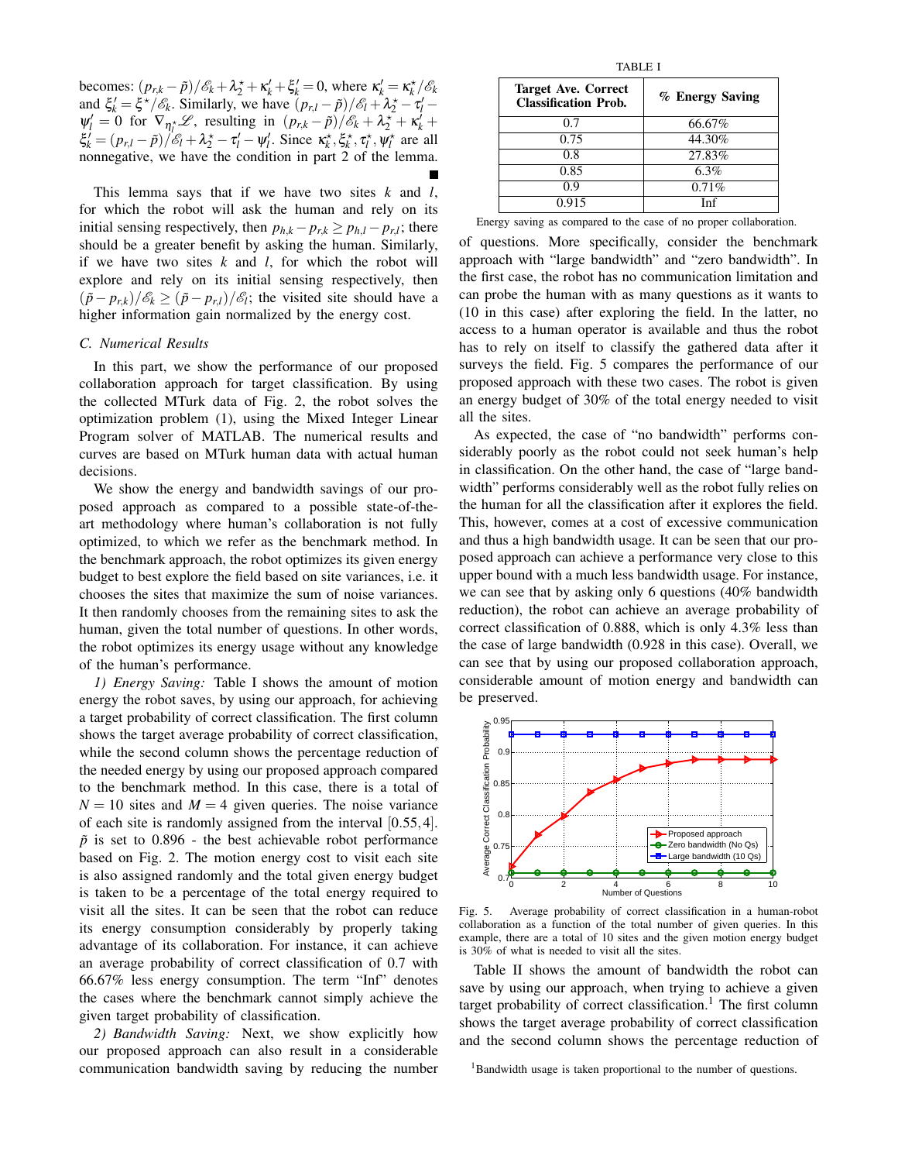becomes:  $(p_{r,k} - \tilde{p})/\mathcal{E}_k + \lambda_2^* + \kappa_k' + \xi_k' = 0$ , where  $\kappa_k' = \kappa_k^*/\mathcal{E}_k$ and  $\xi'_k = \xi^*/\mathscr{E}_k$ . Similarly, we have  $(p_{r,l} - \tilde{p})/\mathscr{E}_l + \lambda_2^* - \tau'_l \Psi'_{l} = 0$  for  $\nabla_{\eta_{l}^{*}} \mathscr{L}$ , resulting in  $(p_{r,k} - \tilde{p})/\mathscr{E}_{k} + \lambda_{2}^{*} + \kappa_{k}^{j} + \lambda_{3}^{j}$  $\xi_k^j = (p_{r,l} - \tilde{p})/ \xi_l^2 + \lambda_2^* - \tau_l' - \psi_l'$ . Since  $\kappa_k^*, \xi_k^*, \tau_l^*, \psi_l^*$  are all nonnegative, we have the condition in part 2 of the lemma.

This lemma says that if we have two sites *k* and *l*, for which the robot will ask the human and rely on its initial sensing respectively, then  $p_{h,k} - p_{r,k} \geq p_{h,l} - p_{r,l}$ ; there should be a greater benefit by asking the human. Similarly, if we have two sites *k* and *l*, for which the robot will explore and rely on its initial sensing respectively, then  $(\tilde{p} - p_{r,k})/\mathscr{E}_k \geq (\tilde{p} - p_{r,l})/\mathscr{E}_l$ ; the visited site should have a higher information gain normalized by the energy cost.

#### *C. Numerical Results*

In this part, we show the performance of our proposed collaboration approach for target classification. By using the collected MTurk data of Fig. 2, the robot solves the optimization problem (1), using the Mixed Integer Linear Program solver of MATLAB. The numerical results and curves are based on MTurk human data with actual human decisions.

We show the energy and bandwidth savings of our proposed approach as compared to a possible state-of-theart methodology where human's collaboration is not fully optimized, to which we refer as the benchmark method. In the benchmark approach, the robot optimizes its given energy budget to best explore the field based on site variances, i.e. it chooses the sites that maximize the sum of noise variances. It then randomly chooses from the remaining sites to ask the human, given the total number of questions. In other words, the robot optimizes its energy usage without any knowledge of the human's performance.

*1) Energy Saving:* Table I shows the amount of motion energy the robot saves, by using our approach, for achieving a target probability of correct classification. The first column shows the target average probability of correct classification, while the second column shows the percentage reduction of the needed energy by using our proposed approach compared to the benchmark method. In this case, there is a total of  $N = 10$  sites and  $M = 4$  given queries. The noise variance of each site is randomly assigned from the interval [0.55,4].  $\tilde{p}$  is set to 0.896 - the best achievable robot performance based on Fig. 2. The motion energy cost to visit each site is also assigned randomly and the total given energy budget is taken to be a percentage of the total energy required to visit all the sites. It can be seen that the robot can reduce its energy consumption considerably by properly taking advantage of its collaboration. For instance, it can achieve an average probability of correct classification of 0.7 with 66.67% less energy consumption. The term "Inf" denotes the cases where the benchmark cannot simply achieve the given target probability of classification.

*2) Bandwidth Saving:* Next, we show explicitly how our proposed approach can also result in a considerable communication bandwidth saving by reducing the number

TABLE I

| <b>Target Ave. Correct</b><br><b>Classification Prob.</b> | % Energy Saving |
|-----------------------------------------------------------|-----------------|
| 0.7                                                       | 66.67%          |
| 0.75                                                      | 44.30%          |
| 0.8                                                       | 27.83%          |
| 0.85                                                      | 6.3%            |
| 0.9                                                       | 0.71%           |
| 0.915                                                     | Inf             |

Energy saving as compared to the case of no proper collaboration.

of questions. More specifically, consider the benchmark approach with "large bandwidth" and "zero bandwidth". In the first case, the robot has no communication limitation and can probe the human with as many questions as it wants to (10 in this case) after exploring the field. In the latter, no access to a human operator is available and thus the robot has to rely on itself to classify the gathered data after it surveys the field. Fig. 5 compares the performance of our proposed approach with these two cases. The robot is given an energy budget of 30% of the total energy needed to visit all the sites.

As expected, the case of "no bandwidth" performs considerably poorly as the robot could not seek human's help in classification. On the other hand, the case of "large bandwidth" performs considerably well as the robot fully relies on the human for all the classification after it explores the field. This, however, comes at a cost of excessive communication and thus a high bandwidth usage. It can be seen that our proposed approach can achieve a performance very close to this upper bound with a much less bandwidth usage. For instance, we can see that by asking only 6 questions (40% bandwidth reduction), the robot can achieve an average probability of correct classification of 0.888, which is only 4.3% less than the case of large bandwidth (0.928 in this case). Overall, we can see that by using our proposed collaboration approach, considerable amount of motion energy and bandwidth can be preserved.



Fig. 5. Average probability of correct classification in a human-robot collaboration as a function of the total number of given queries. In this example, there are a total of 10 sites and the given motion energy budget is 30% of what is needed to visit all the sites.

Table II shows the amount of bandwidth the robot can save by using our approach, when trying to achieve a given target probability of correct classification.<sup>1</sup> The first column shows the target average probability of correct classification and the second column shows the percentage reduction of

<sup>1</sup>Bandwidth usage is taken proportional to the number of questions.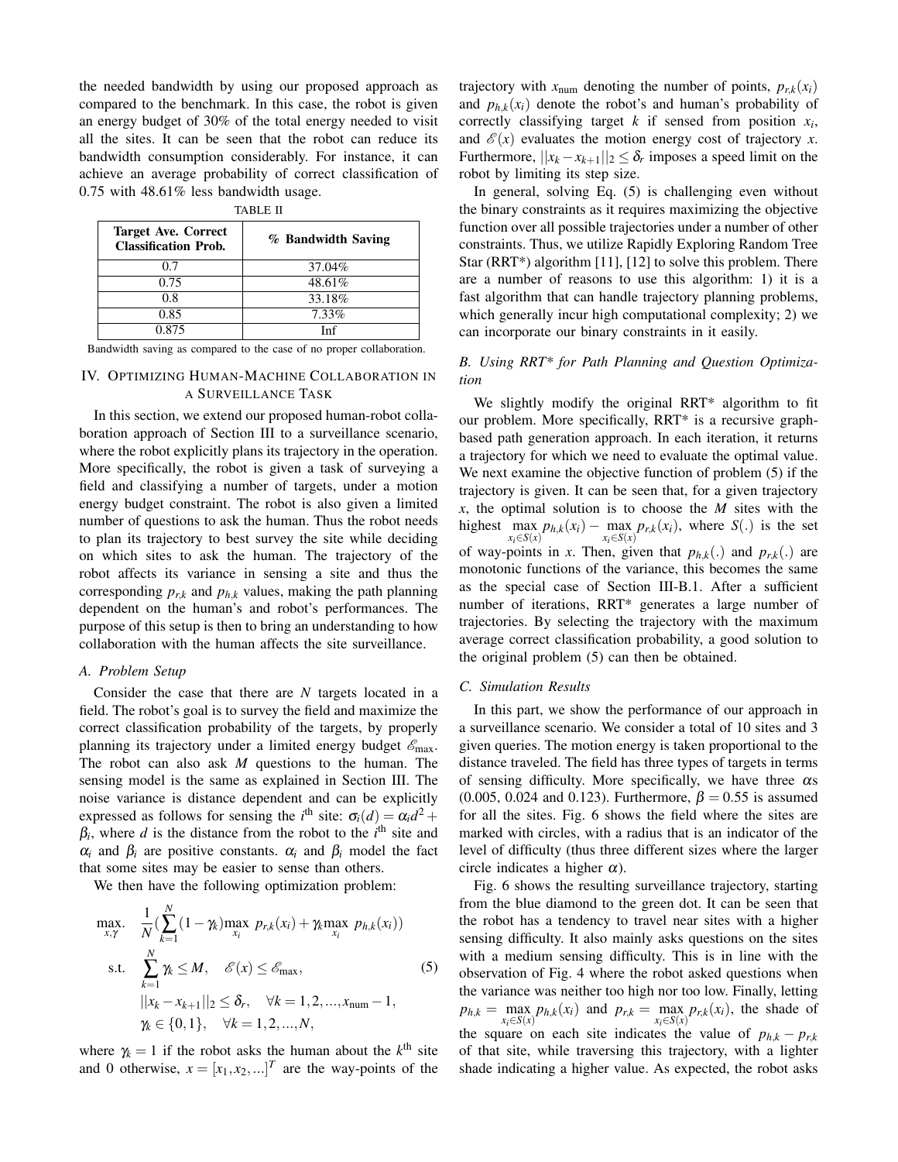the needed bandwidth by using our proposed approach as compared to the benchmark. In this case, the robot is given an energy budget of 30% of the total energy needed to visit all the sites. It can be seen that the robot can reduce its bandwidth consumption considerably. For instance, it can achieve an average probability of correct classification of 0.75 with 48.61% less bandwidth usage.

|--|

| <b>Target Ave. Correct</b><br><b>Classification Prob.</b> | % Bandwidth Saving |
|-----------------------------------------------------------|--------------------|
| 0.7                                                       | 37.04%             |
| 0.75                                                      | 48.61%             |
| 0.8                                                       | 33.18%             |
| 0.85                                                      | 7.33%              |
| 0.875                                                     | Inf                |

Bandwidth saving as compared to the case of no proper collaboration.

## IV. OPTIMIZING HUMAN-MACHINE COLLABORATION IN A SURVEILLANCE TASK

In this section, we extend our proposed human-robot collaboration approach of Section III to a surveillance scenario, where the robot explicitly plans its trajectory in the operation. More specifically, the robot is given a task of surveying a field and classifying a number of targets, under a motion energy budget constraint. The robot is also given a limited number of questions to ask the human. Thus the robot needs to plan its trajectory to best survey the site while deciding on which sites to ask the human. The trajectory of the robot affects its variance in sensing a site and thus the corresponding  $p_{r,k}$  and  $p_{h,k}$  values, making the path planning dependent on the human's and robot's performances. The purpose of this setup is then to bring an understanding to how collaboration with the human affects the site surveillance.

## *A. Problem Setup*

Consider the case that there are *N* targets located in a field. The robot's goal is to survey the field and maximize the correct classification probability of the targets, by properly planning its trajectory under a limited energy budget  $\mathscr{E}_{\text{max}}$ . The robot can also ask *M* questions to the human. The sensing model is the same as explained in Section III. The noise variance is distance dependent and can be explicitly expressed as follows for sensing the *i*<sup>th</sup> site:  $\sigma_i(d) = \alpha_i d^2 + \sigma_i^2$  $\beta_i$ , where *d* is the distance from the robot to the *i*<sup>th</sup> site and  $\alpha_i$  and  $\beta_i$  are positive constants.  $\alpha_i$  and  $\beta_i$  model the fact that some sites may be easier to sense than others.

We then have the following optimization problem:

$$
\max_{x,\gamma} \quad \frac{1}{N} \left( \sum_{k=1}^{N} (1 - \gamma_k) \max_{x_i} \ p_{r,k}(x_i) + \gamma_k \max_{x_i} \ p_{h,k}(x_i) \right)
$$
\n
$$
\text{s.t.} \quad \sum_{k=1}^{N} \gamma_k \le M, \quad \mathcal{E}(x) \le \mathcal{E}_{\text{max}}, \tag{5}
$$
\n
$$
||x_k - x_{k+1}||_2 \le \delta_r, \quad \forall k = 1, 2, ..., x_{\text{num}} - 1,
$$
\n
$$
\gamma_k \in \{0, 1\}, \quad \forall k = 1, 2, ..., N,
$$

where  $\gamma_k = 1$  if the robot asks the human about the  $k^{\text{th}}$  site and 0 otherwise,  $x = [x_1, x_2, \ldots]^T$  are the way-points of the trajectory with  $x_{\text{num}}$  denoting the number of points,  $p_{r,k}(x_i)$ and  $p_{h,k}(x_i)$  denote the robot's and human's probability of correctly classifying target  $k$  if sensed from position  $x_i$ , and  $\mathcal{E}(x)$  evaluates the motion energy cost of trajectory *x*. Furthermore,  $||x_k - x_{k+1}||_2 \leq \delta_r$  imposes a speed limit on the robot by limiting its step size.

In general, solving Eq. (5) is challenging even without the binary constraints as it requires maximizing the objective function over all possible trajectories under a number of other constraints. Thus, we utilize Rapidly Exploring Random Tree Star (RRT\*) algorithm [11], [12] to solve this problem. There are a number of reasons to use this algorithm: 1) it is a fast algorithm that can handle trajectory planning problems, which generally incur high computational complexity; 2) we can incorporate our binary constraints in it easily.

# *B. Using RRT\* for Path Planning and Question Optimization*

We slightly modify the original RRT\* algorithm to fit our problem. More specifically, RRT\* is a recursive graphbased path generation approach. In each iteration, it returns a trajectory for which we need to evaluate the optimal value. We next examine the objective function of problem  $(5)$  if the trajectory is given. It can be seen that, for a given trajectory *x*, the optimal solution is to choose the *M* sites with the highest max  $p_{h,k}(x_i)$  – max  $p_{r,k}(x_i)$ , where  $S(.)$  is the set  $x_i \in S(x)$  $x_i \in S(x)$ of way-points in *x*. Then, given that  $p_{h,k}(.)$  and  $p_{r,k}(.)$  are monotonic functions of the variance, this becomes the same as the special case of Section III-B.1. After a sufficient number of iterations, RRT\* generates a large number of trajectories. By selecting the trajectory with the maximum average correct classification probability, a good solution to the original problem (5) can then be obtained.

#### *C. Simulation Results*

In this part, we show the performance of our approach in a surveillance scenario. We consider a total of 10 sites and 3 given queries. The motion energy is taken proportional to the distance traveled. The field has three types of targets in terms of sensing difficulty. More specifically, we have three  $\alpha$ s (0.005, 0.024 and 0.123). Furthermore,  $\beta = 0.55$  is assumed for all the sites. Fig. 6 shows the field where the sites are marked with circles, with a radius that is an indicator of the level of difficulty (thus three different sizes where the larger circle indicates a higher  $\alpha$ ).

Fig. 6 shows the resulting surveillance trajectory, starting from the blue diamond to the green dot. It can be seen that the robot has a tendency to travel near sites with a higher sensing difficulty. It also mainly asks questions on the sites with a medium sensing difficulty. This is in line with the observation of Fig. 4 where the robot asked questions when the variance was neither too high nor too low. Finally, letting  $p_{h,k} = \max_{\alpha} p_{h,k}(x_i)$  and  $p_{r,k} = \max_{\alpha} p_{r,k}(x_i)$ , the shade of  $x_i ∈ S(x)$  $x_i \in S(x)$ the square on each site indicates the value of  $p_{h,k} - p_{r,k}$ of that site, while traversing this trajectory, with a lighter shade indicating a higher value. As expected, the robot asks